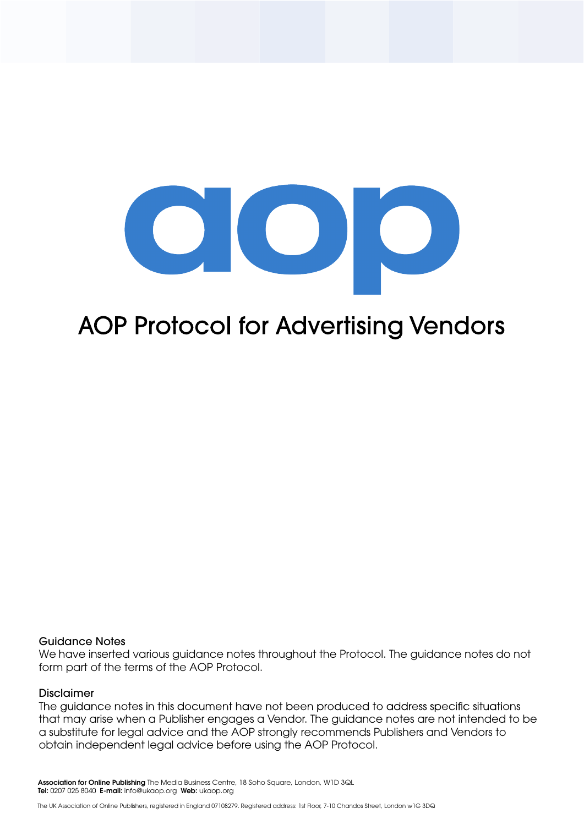

# **AOP Protocol for Advertising Vendors**

#### Guidance Notes

We have inserted various guidance notes throughout the Protocol. The guidance notes do not form part of the terms of the AOP Protocol.

#### Disclaimer

The guidance notes in this document have not been produced to address specific situations that may arise when a Publisher engages a Vendor. The guidance notes are not intended to be a substitute for legal advice and the AOP strongly recommends Publishers and Vendors to obtain independent legal advice before using the AOP Protocol.

 Association for Online Publishing The Media Business Centre, 18 Soho Square, London, W1D 3QL Tel: 0207 025 8040 E-mail: info@ukaop.org Web: ukaop.org

The UK Association of Online Publishers, registered in England 07108279. Registered address: 1st Floor, 7-10 Chandos Street, London w1G 3DQ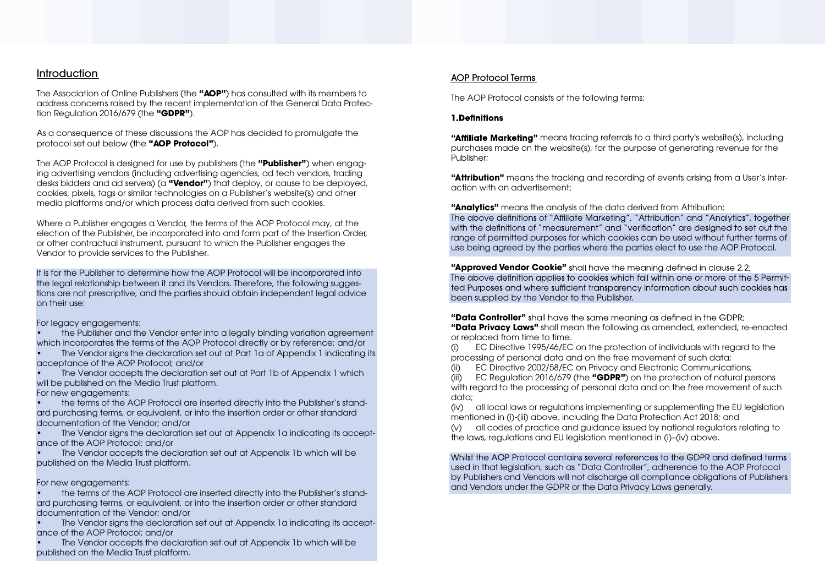# **Introduction**

The Association of Online Publishers (the **"AOP"**) has consulted with its members to address concerns raised by the recent implementation of the General Data Protection Regulation 2016/679 (the **"GDPR"**).

As a consequence of these discussions the AOP has decided to promulgate the protocol set out below (the **"AOP Protocol"**).

The AOP Protocol is designed for use by publishers (the **"Publisher"**) when engaging advertising vendors (including advertising agencies, ad tech vendors, trading desks bidders and ad servers) (a **"Vendor"**) that deploy, or cause to be deployed, cookies, pixels, tags or similar technologies on a Publisher's website(s) and other media platforms and/or which process data derived from such cookies.

It is for the Publisher to determine how the AOP Protocol will be incorporated into the legal relationship between it and its Vendors. Therefore, the following suggestions are not prescriptive, and the parties should obtain independent legal advice on their use:

the Publisher and the Vendor enter into a legally binding variation agreement which incorporates the terms of the AOP Protocol directly or by reference; and/or

Where a Publisher engages a Vendor, the terms of the AOP Protocol may, at the election of the Publisher, be incorporated into and form part of the Insertion Order, or other contractual instrument, pursuant to which the Publisher engages the Vendor to provide services to the Publisher.

For legacy engagements:

"Affiliate Marketing" means tracing referrals to a third party's website(s), including purchases made on the website(s), for the purpose of generating revenue for the Publisher;

• The Vendor signs the declaration set out at Part 1a of Appendix 1 indicating its acceptance of the AOP Protocol; and/or

The Vendor accepts the declaration set out at Part 1b of Appendix 1 which will be published on the Media Trust platform.

**"Approved Vendor Cookie"** shall have the meaning defined in clause 2.2; The above definition applies to cookies which fall within one or more of the 5 Permitted Purposes and where sufficient transparency information about such cookies has been supplied by the Vendor to the Publisher.

"Data Controller" shall have the same meaning as defined in the GDPR; **"Data Privacy Laws"** shall mean the following as amended, extended, re-enacted or replaced from time to time.

For new engagements:

• the terms of the AOP Protocol are inserted directly into the Publisher's standard purchasing terms, or equivalent, or into the insertion order or other standard documentation of the Vendor; and/or

• The Vendor signs the declaration set out at Appendix 1a indicating its acceptance of the AOP Protocol; and/or

• The Vendor accepts the declaration set out at Appendix 1b which will be published on the Media Trust platform.

Whilst the AOP Protocol contains several references to the GDPR and defined terms used in that legislation, such as "Data Controller", adherence to the AOP Protocol by Publishers and Vendors will not discharge all compliance obligations of Publishers and Vendors under the GDPR or the Data Privacy Laws generally.

For new engagements:

• the terms of the AOP Protocol are inserted directly into the Publisher's standard purchasing terms, or equivalent, or into the insertion order or other standard documentation of the Vendor; and/or

• The Vendor signs the declaration set out at Appendix 1a indicating its acceptance of the AOP Protocol; and/or

• The Vendor accepts the declaration set out at Appendix 1b which will be published on the Media Trust platform.

## AOP Protocol Terms

The AOP Protocol consists of the following terms:

#### 1. Definitions

**"Attribution"** means the tracking and recording of events arising from a User's interaction with an advertisement;

**"Analytics"** means the analysis of the data derived from Attribution; The above definitions of "Affiliate Marketing", "Attribution" and "Analytics", together with the definitions of "measurement" and "verification" are designed to set out the range of permitted purposes for which cookies can be used without further terms of use being agreed by the parties where the parties elect to use the AOP Protocol.

(i) EC Directive 1995/46/EC on the protection of individuals with regard to the processing of personal data and on the free movement of such data; EC Directive 2002/58/EC on Privacy and Electronic Communications; (iii) EC Regulation 2016/679 (the **"GDPR"**) on the protection of natural persons

with regard to the processing of personal data and on the free movement of such data;

(iv) all local laws or regulations implementing or supplementing the EU legislation mentioned in (i)-(iii) above, including the Data Protection Act 2018; and (v) all codes of practice and guidance issued by national regulators relating to the laws, regulations and EU legislation mentioned in (i)–(iv) above.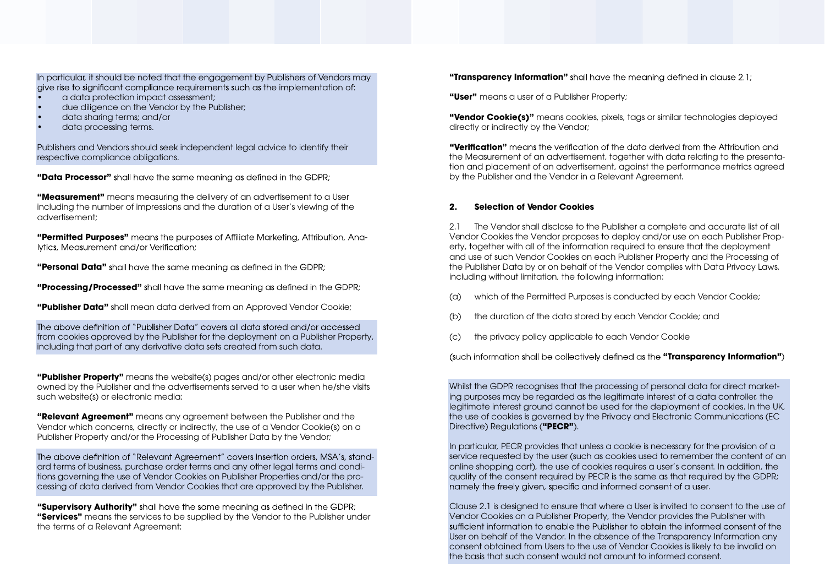In particular, it should be noted that the engagement by Publishers of Vendors may give rise to significant compliance requirements such as the implementation of:

- a data protection impact assessment;
- due diligence on the Vendor by the Publisher;
- data sharing terms; and/or
- data processing terms.

Publishers and Vendors should seek independent legal advice to identify their respective compliance obligations.

**"Data Processor"** shall have the same meaning as defined in the GDPR;

The above definition of "Publisher Data" covers all data stored and/or accessed from cookies approved by the Publisher for the deployment on a Publisher Property, including that part of any derivative data sets created from such data.

**"Measurement"** means measuring the delivery of an advertisement to a User including the number of impressions and the duration of a User's viewing of the advertisement;

"Permitted Purposes" means the purposes of Affiliate Marketing, Attribution, Ana-Ivtics, Measurement and/or Verification:

**"Personal Data"** shall have the same meaning as defined in the GDPR;

**"Processing/Processed"** shall have the same meaning as defined in the GDPR;

**"Publisher Data"** shall mean data derived from an Approved Vendor Cookie;

The above definition of "Relevant Agreement" covers insertion orders, MSA's, standard terms of business, purchase order terms and any other legal terms and conditions governing the use of Vendor Cookies on Publisher Properties and/or the processing of data derived from Vendor Cookies that are approved by the Publisher.

**"Supervisory Authority"** shall have the same meaning as defined in the GDPR; **"Services"** means the services to be supplied by the Vendor to the Publisher under the terms of a Relevant Agreement;

**"Transparency Information"** shall have the meaning defined in clause 2.1;

**"Publisher Property"** means the website(s) pages and/or other electronic media owned by the Publisher and the advertisements served to a user when he/she visits such website(s) or electronic media;

"Verification" means the verification of the data derived from the Attribution and the Measurement of an advertisement, together with data relating to the presentation and placement of an advertisement, against the performance metrics agreed by the Publisher and the Vendor in a Relevant Agreement.

**"Relevant Agreement"** means any agreement between the Publisher and the Vendor which concerns, directly or indirectly, the use of a Vendor Cookie(s) on a Publisher Property and/or the Processing of Publisher Data by the Vendor;

> In particular, PECR provides that unless a cookie is necessary for the provision of a service requested by the user (such as cookies used to remember the content of an online shopping cart), the use of cookies requires a user's consent. In addition, the quality of the consent required by PECR is the same as that required by the GDPR; namely the freely given, specific and informed consent of a user.

**"User"** means a user of a Publisher Property;

**"Vendor Cookie(s)"** means cookies, pixels, tags or similar technologies deployed directly or indirectly by the Vendor;

#### **2. Selection of Vendor Cookies**

2.1 The Vendor shall disclose to the Publisher a complete and accurate list of all Vendor Cookies the Vendor proposes to deploy and/or use on each Publisher Property, together with all of the information required to ensure that the deployment and use of such Vendor Cookies on each Publisher Property and the Processing of the Publisher Data by or on behalf of the Vendor complies with Data Privacy Laws, including without limitation, the following information:

- (a) which of the Permitted Purposes is conducted by each Vendor Cookie;
- (b) the duration of the data stored by each Vendor Cookie; and
- (c) the privacy policy applicable to each Vendor Cookie

(such information shall be collectively defined as the "**Transparency Information**")

Whilst the GDPR recognises that the processing of personal data for direct marketing purposes may be regarded as the legitimate interest of a data controller, the legitimate interest ground cannot be used for the deployment of cookies. In the UK, the use of cookies is governed by the Privacy and Electronic Communications (EC Directive) Regulations (**"PECR"**).

Clause 2.1 is designed to ensure that where a User is invited to consent to the use of Vendor Cookies on a Publisher Property, the Vendor provides the Publisher with sufficient information to enable the Publisher to obtain the informed consent of the User on behalf of the Vendor. In the absence of the Transparency Information any consent obtained from Users to the use of Vendor Cookies is likely to be invalid on the basis that such consent would not amount to informed consent.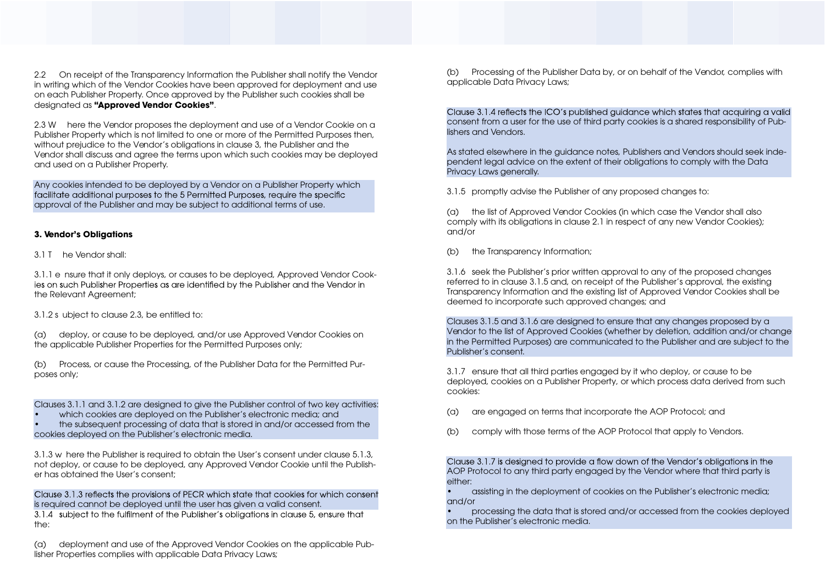2.2 On receipt of the Transparency Information the Publisher shall notify the Vendor in writing which of the Vendor Cookies have been approved for deployment and use on each Publisher Property. Once approved by the Publisher such cookies shall be designated as **"Approved Vendor Cookies"**.

Any cookies intended to be deployed by a Vendor on a Publisher Property which<br>facilitate additional purposes to the 5 Permitted Purposes, require the specific approval of the Publisher and may be subject to additional terms of use.

2.3 W here the Vendor proposes the deployment and use of a Vendor Cookie on a Publisher Property which is not limited to one or more of the Permitted Purposes then, without prejudice to the Vendor's obligations in clause 3, the Publisher and the Vendor shall discuss and agree the terms upon which such cookies may be deployed and used on a Publisher Property.

#### **3. Vendor's Obligations**

3.1 T he Vendor shall:

3.1.1 e nsure that it only deploys, or causes to be deployed, Approved Vendor Cookies on such Publisher Properties as are identified by the Publisher and the Vendor in the Relevant Agreement;

Clause 3.1.3 reflects the provisions of PECR which state that cookies for which consent is required cannot be deployed until the user has given a valid consent. 3.1.4 subject to the fulfilment of the Publisher's obligations in clause 5, ensure that the:

3.1.2 s ubject to clause 2.3, be entitled to:

(a) deploy, or cause to be deployed, and/or use Approved Vendor Cookies on the applicable Publisher Properties for the Permitted Purposes only;

Clause 3.1.4 reflects the ICO's published guidance which states that acquiring a valid consent from a user for the use of third party cookies is a shared responsibility of Publishers and Vendors.

(b) Process, or cause the Processing, of the Publisher Data for the Permitted Purposes only;

Clauses 3.1.1 and 3.1.2 are designed to give the Publisher control of two key activities:

which cookies are deployed on the Publisher's electronic media; and

• the subsequent processing of data that is stored in and/or accessed from the cookies deployed on the Publisher's electronic media.

3.1.3 w here the Publisher is required to obtain the User's consent under clause 5.1.3, not deploy, or cause to be deployed, any Approved Vendor Cookie until the Publisher has obtained the User's consent;

Clause 3.1.7 is designed to provide a flow down of the Vendor's obligations in the AOP Protocol to any third party engaged by the Vendor where that third party is either:

(a) deployment and use of the Approved Vendor Cookies on the applicable Publisher Properties complies with applicable Data Privacy Laws;

(b) Processing of the Publisher Data by, or on behalf of the Vendor, complies with applicable Data Privacy Laws;

As stated elsewhere in the guidance notes, Publishers and Vendors should seek independent legal advice on the extent of their obligations to comply with the Data Privacy Laws generally.

3.1.5 promptly advise the Publisher of any proposed changes to:

(a) the list of Approved Vendor Cookies (in which case the Vendor shall also comply with its obligations in clause 2.1 in respect of any new Vendor Cookies); and/or

(b) the Transparency Information;

3.1.6 seek the Publisher's prior written approval to any of the proposed changes referred to in clause 3.1.5 and, on receipt of the Publisher's approval, the existing Transparency Information and the existing list of Approved Vendor Cookies shall be deemed to incorporate such approved changes; and

Clauses 3.1.5 and 3.1.6 are designed to ensure that any changes proposed by a Vendor to the list of Approved Cookies (whether by deletion, addition and/or change in the Permitted Purposes) are communicated to the Publisher and are subject to the Publisher's consent.

3.1.7 ensure that all third parties engaged by it who deploy, or cause to be deployed, cookies on a Publisher Property, or which process data derived from such cookies:

- (a) are engaged on terms that incorporate the AOP Protocol; and
- (b) comply with those terms of the AOP Protocol that apply to Vendors.

• assisting in the deployment of cookies on the Publisher's electronic media; and/or

• processing the data that is stored and/or accessed from the cookies deployed on the Publisher's electronic media.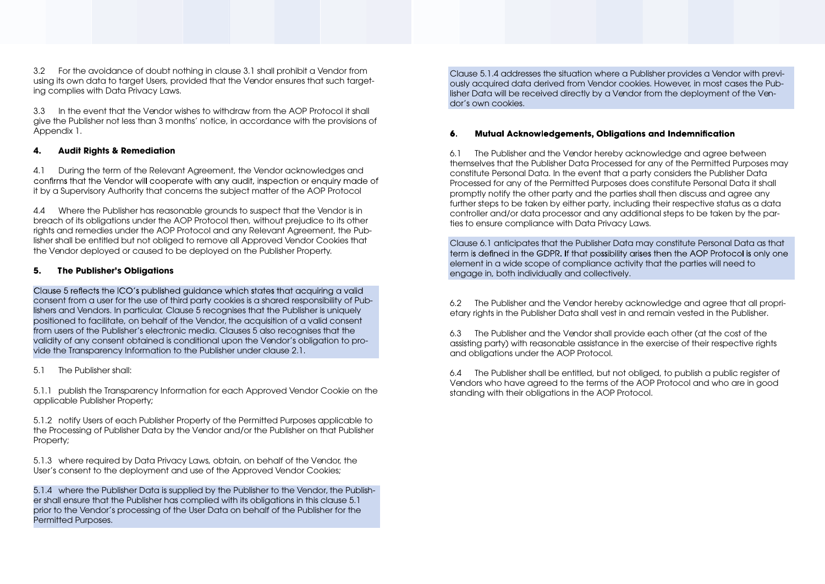3.2 For the avoidance of doubt nothing in clause 3.1 shall prohibit a Vendor from using its own data to target Users, provided that the Vendor ensures that such targeting complies with Data Privacy Laws.

3.3 In the event that the Vendor wishes to withdraw from the AOP Protocol it shall give the Publisher not less than 3 months' notice, in accordance with the provisions of Appendix 1.

#### **4. Audit Rights & Remediation**

4.1 During the term of the Relevant Agreement, the Vendor acknowledges and confirms that the Vendor will cooperate with any audit, inspection or enquiry made of it by a Supervisory Authority that concerns the subject matter of the AOP Protocol

Clause 5 reflects the ICO's published guidance which states that acquiring a valid consent from a user for the use of third party cookies is a shared responsibility of Publishers and Vendors. In particular, Clause 5 recognises that the Publisher is uniquely positioned to facilitate, on behalf of the Vendor, the acquisition of a valid consent from users of the Publisher's electronic media. Clauses 5 also recognises that the validity of any consent obtained is conditional upon the Vendor's obligation to provide the Transparency Information to the Publisher under clause 2.1.

4.4 Where the Publisher has reasonable grounds to suspect that the Vendor is in breach of its obligations under the AOP Protocol then, without prejudice to its other rights and remedies under the AOP Protocol and any Relevant Agreement, the Publisher shall be entitled but not obliged to remove all Approved Vendor Cookies that the Vendor deployed or caused to be deployed on the Publisher Property.

## **5. The Publisher's Obligations**

5.1 The Publisher shall:

5.1.1 publish the Transparency Information for each Approved Vendor Cookie on the applicable Publisher Property;

5.1.2 notify Users of each Publisher Property of the Permitted Purposes applicable to the Processing of Publisher Data by the Vendor and/or the Publisher on that Publisher Property;

5.1.3 where required by Data Privacy Laws, obtain, on behalf of the Vendor, the User's consent to the deployment and use of the Approved Vendor Cookies;

5.1.4 where the Publisher Data is supplied by the Publisher to the Vendor, the Publisher shall ensure that the Publisher has complied with its obligations in this clause 5.1 prior to the Vendor's processing of the User Data on behalf of the Publisher for the Permitted Purposes.

Clause 5.1.4 addresses the situation where a Publisher provides a Vendor with previously acquired data derived from Vendor cookies. However, in most cases the Publisher Data will be received directly by a Vendor from the deployment of the Vendor's own cookies.

#### **Mutual Acknowledgements, Obligations and Indemnification** 6.

6.1 The Publisher and the Vendor hereby acknowledge and agree between themselves that the Publisher Data Processed for any of the Permitted Purposes may constitute Personal Data. In the event that a party considers the Publisher Data Processed for any of the Permitted Purposes does constitute Personal Data it shall promptly notify the other party and the parties shall then discuss and agree any further steps to be taken by either party, including their respective status as a data controller and/or data processor and any additional steps to be taken by the parties to ensure compliance with Data Privacy Laws.

Clause 6.1 anticipates that the Publisher Data may constitute Personal Data as that term is defined in the GDPR. If that possibility arises then the AOP Protocol is only one element in a wide scope of compliance activity that the parties will need to engage in, both individually and collectively.

6.2 The Publisher and the Vendor hereby acknowledge and agree that all proprietary rights in the Publisher Data shall vest in and remain vested in the Publisher.

6.3 The Publisher and the Vendor shall provide each other (at the cost of the assisting party) with reasonable assistance in the exercise of their respective rights and obligations under the AOP Protocol.

6.4 The Publisher shall be entitled, but not obliged, to publish a public register of Vendors who have agreed to the terms of the AOP Protocol and who are in good standing with their obligations in the AOP Protocol.